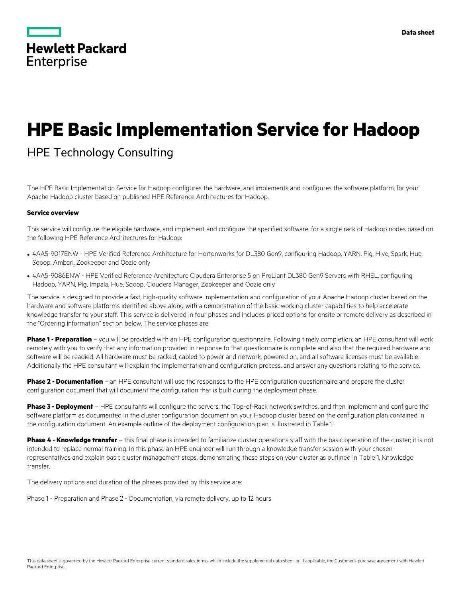|                   | <b>Hewlett Packard</b> |
|-------------------|------------------------|
| <b>Enterprise</b> |                        |

# **HPE Basic Implementation Service for Hadoop**

# HPE Technology Consulting

The HPE Basic Implementation Service for Hadoop configures the hardware, and implements and configures the software platform, for your Apache Hadoop cluster based on published HPE Reference Architectures for Hadoop.

#### **Service overview**

This service will configure the eligible hardware, and implement and configure the specified software, for a single rack of Hadoop nodes based on the following HPE Reference Architectures for Hadoop:

- 4AA5-9017ENW HPE Verified Reference Architecture for Hortonworks for DL380 Gen9, configuring Hadoop, YARN, Pig, Hive, Spark, Hue, Sqoop, Ambari, Zookeeper and Oozie only
- 4AA5-9086ENW HPE Verified Reference Architecture Cloudera Enterprise 5 on ProLiant DL380 Gen9 Servers with RHEL, configuring Hadoop, YARN, Pig, Impala, Hue, Sqoop, Cloudera Manager, Zookeeper and Oozie only

The service is designed to provide a fast, high-quality software implementation and configuration of your Apache Hadoop cluster based on the hardware and software platforms identified above along with a demonstration of the basic working cluster capabilities to help accelerate knowledge transfer to your staff. This service is delivered in four phases and includes priced options for onsite or remote delivery as described in the "Ordering information" section below. The service phases are:

**Phase 1 - Preparation** – you will be provided with an HPE configuration questionnaire. Following timely completion, an HPE consultant will work remotely with you to verify that any information provided in response to that questionnaire is complete and also that the required hardware and software will be readied. All hardware must be racked, cabled to power and network, powered on, and all software licenses must be available. Additionally the HPE consultant will explain the implementation and configuration process, and answer any questions relating to the service.

**Phase 2 - Documentation** – an HPE consultant will use the responses to the HPE configuration questionnaire and prepare the cluster configuration document that will document the configuration that is built during the deployment phase.

**Phase 3 - Deployment** – HPE consultants will configure the servers, the Top-of-Rack network switches, and then implement and configure the software platform as documented in the cluster configuration document on your Hadoop cluster based on the configuration plan contained in the configuration document. An example outline of the deployment configuration plan is illustrated in Table 1.

**Phase 4 - Knowledge transfer** – this final phase is intended to familiarize cluster operations staff with the basic operation of the cluster; it is not intended to replace normal training. In this phase an HPE engineer will run through a knowledge transfer session with your chosen representatives and explain basic cluster management steps, demonstrating these steps on your cluster as outlined in Table 1, Knowledge transfer.

The delivery options and duration of the phases provided by this service are:

Phase 1 - Preparation and Phase 2 - Documentation, via remote delivery, up to 12 hours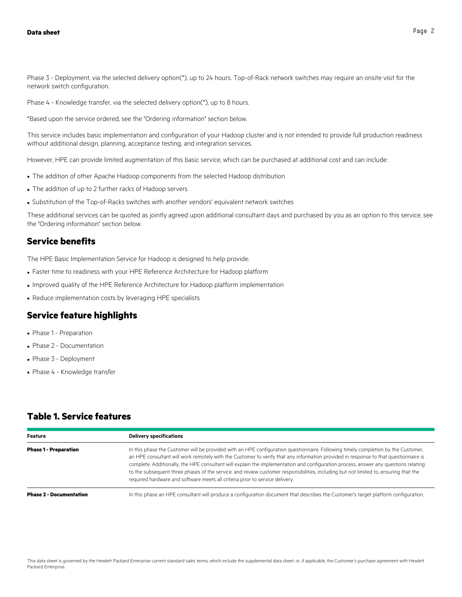Phase 3 - Deployment, via the selected delivery option(\*), up to 24 hours. Top-of-Rack network switches may require an onsite visit for the network switch configuration.

Phase 4 - Knowledge transfer, via the selected delivery option(\*), up to 8 hours.

\*Based upon the service ordered, see the "Ordering information" section below.

This service includes basic implementation and configuration of your Hadoop cluster and is not intended to provide full production readiness without additional design, planning, acceptance testing, and integration services.

However, HPE can provide limited augmentation of this basic service, which can be purchased at additional cost and can include:

- The addition of other Apache Hadoop components from the selected Hadoop distribution
- The addition of up to 2 further racks of Hadoop servers
- Substitution of the Top-of-Racks switches with another vendors' equivalent network switches

These additional services can be quoted as jointly agreed upon additional consultant days and purchased by you as an option to this service, see the "Ordering information" section below.

#### **Service benefits**

The HPE Basic Implementation Service for Hadoop is designed to help provide:

- Faster time to readiness with your HPE Reference Architecture for Hadoop platform
- Improved quality of the HPE Reference Architecture for Hadoop platform implementation
- Reduce implementation costs by leveraging HPE specialists

### **Service feature highlights**

- Phase 1 Preparation
- Phase 2 Documentation
- Phase 3 Deployment
- Phase 4 Knowledge transfer

# **Table 1. Service features**

| <b>Feature</b>                 | <b>Delivery specifications</b>                                                                                                                                                                                                                                                                                                                                                                                                                                                                                                                                                                                                          |
|--------------------------------|-----------------------------------------------------------------------------------------------------------------------------------------------------------------------------------------------------------------------------------------------------------------------------------------------------------------------------------------------------------------------------------------------------------------------------------------------------------------------------------------------------------------------------------------------------------------------------------------------------------------------------------------|
| <b>Phase 1 - Preparation</b>   | In this phase the Customer will be provided with an HPE configuration questionnaire. Following timely completion by the Customer,<br>an HPE consultant will work remotely with the Customer to verify that any information provided in response to that questionnaire is<br>complete. Additionally, the HPE consultant will explain the implementation and configuration process, answer any questions relating<br>to the subsequent three phases of the service, and review customer responsibilities, including but not limited to, ensuring that the<br>required hardware and software meets all criteria prior to service delivery. |
| <b>Phase 2 - Documentation</b> | In this phase an HPE consultant will produce a configuration document that describes the Customer's target platform configuration.                                                                                                                                                                                                                                                                                                                                                                                                                                                                                                      |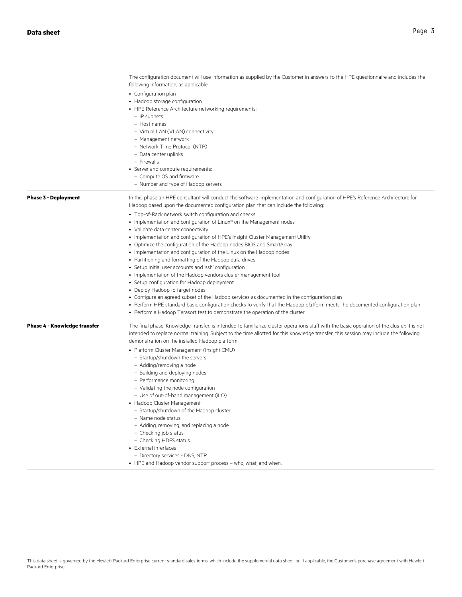|                                     | The configuration document will use information as supplied by the Customer in answers to the HPE questionnaire and includes the<br>following information, as applicable:                                                                                                                                                                                                                                                                                                                                                                                                                                                                                                                                                                                                                                                                                                                                                                                                                    |  |
|-------------------------------------|----------------------------------------------------------------------------------------------------------------------------------------------------------------------------------------------------------------------------------------------------------------------------------------------------------------------------------------------------------------------------------------------------------------------------------------------------------------------------------------------------------------------------------------------------------------------------------------------------------------------------------------------------------------------------------------------------------------------------------------------------------------------------------------------------------------------------------------------------------------------------------------------------------------------------------------------------------------------------------------------|--|
|                                     | • Configuration plan<br>• Hadoop storage configuration<br>• HPE Reference Architecture networking requirements:<br>- IP subnets<br>- Host names<br>- Virtual LAN (VLAN) connectivity<br>- Management network<br>- Network Time Protocol (NTP)<br>- Data center uplinks<br>- Firewalls<br>• Server and compute requirements:<br>- Compute OS and firmware                                                                                                                                                                                                                                                                                                                                                                                                                                                                                                                                                                                                                                     |  |
|                                     | - Number and type of Hadoop servers                                                                                                                                                                                                                                                                                                                                                                                                                                                                                                                                                                                                                                                                                                                                                                                                                                                                                                                                                          |  |
| <b>Phase 3 - Deployment</b>         | In this phase an HPE consultant will conduct the software implementation and configuration of HPE's Reference Architecture for<br>Hadoop based upon the documented configuration plan that can include the following:                                                                                                                                                                                                                                                                                                                                                                                                                                                                                                                                                                                                                                                                                                                                                                        |  |
|                                     | • Top-of-Rack network switch configuration and checks<br>• Implementation and configuration of Linux® on the Management nodes<br>• Validate data center connectivity<br>• Implementation and configuration of HPE's Insight Cluster Management Utility<br>• Optimize the configuration of the Hadoop nodes BIOS and SmartArray<br>• Implementation and configuration of the Linux on the Hadoop nodes<br>• Partitioning and formatting of the Hadoop data drives<br>• Setup initial user accounts and 'ssh' configuration<br>• Implementation of the Hadoop vendors cluster management tool<br>• Setup configuration for Hadoop deployment<br>• Deploy Hadoop to target nodes<br>• Configure an agreed subset of the Hadoop services as documented in the configuration plan<br>• Perform HPE standard basic configuration checks to verify that the Hadoop platform meets the documented configuration plan<br>• Perform a Hadoop Terasort test to demonstrate the operation of the cluster |  |
| <b>Phase 4 - Knowledge transfer</b> | The final phase, Knowledge transfer, is intended to familiarize cluster operations staff with the basic operation of the cluster; it is not<br>intended to replace normal training. Subject to the time allotted for this knowledge transfer, this session may include the following<br>demonstration on the installed Hadoop platform:<br>• Platform Cluster Management (Insight CMU)<br>- Startup/shutdown the servers<br>- Adding/removing a node<br>- Building and deploying nodes<br>- Performance monitoring<br>- Validating the node configuration<br>- Use of out-of-band management (iLO)<br>• Hadoop Cluster Management<br>- Startup/shutdown of the Hadoop cluster<br>- Name node status<br>- Adding, removing, and replacing a node<br>- Checking job status<br>- Checking HDFS status<br>• External interfaces<br>- Directory services - DNS, NTP<br>• HPE and Hadoop vendor support process - who, what, and when.                                                             |  |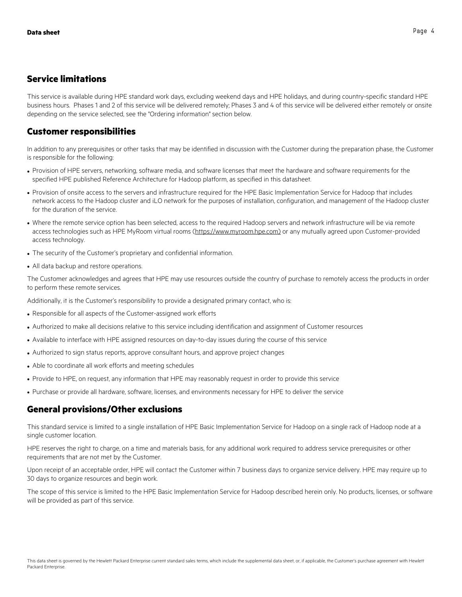# **Service limitations**

This service is available during HPE standard work days, excluding weekend days and HPE holidays, and during country-specific standard HPE business hours. Phases 1 and 2 of this service will be delivered remotely; Phases 3 and 4 of this service will be delivered either remotely or onsite depending on the service selected, see the "Ordering information" section below.

## **Customer responsibilities**

In addition to any prerequisites or other tasks that may be identified in discussion with the Customer during the preparation phase, the Customer is responsible for the following:

- Provision of HPE servers, networking, software media, and software licenses that meet the hardware and software requirements for the specified HPE published Reference Architecture for Hadoop platform, as specified in this datasheet.
- Provision of onsite access to the servers and infrastructure required for the HPE Basic Implementation Service for Hadoop that includes network access to the Hadoop cluster and iLO network for the purposes of installation, configuration, and management of the Hadoop cluster for the duration of the service.
- Where the remote service option has been selected, access to the required Hadoop servers and network infrastructure will be via remote access technologies such as HPE MyRoom virtual rooms (https://www.myroom.hpe.com) or any mutually agreed upon Customer-provided access technology.
- The security of the Customer's proprietary and confidential information.
- All data backup and restore operations.

The Customer acknowledges and agrees that HPE may use resources outside the country of purchase to remotely access the products in order to perform these remote services.

Additionally, it is the Customer's responsibility to provide a designated primary contact, who is:

- Responsible for all aspects of the Customer-assigned work efforts
- Authorized to make all decisions relative to this service including identification and assignment of Customer resources
- Available to interface with HPE assigned resources on day-to-day issues during the course of this service
- Authorized to sign status reports, approve consultant hours, and approve project changes
- Able to coordinate all work efforts and meeting schedules
- Provide to HPE, on request, any information that HPE may reasonably request in order to provide this service
- Purchase or provide all hardware, software, licenses, and environments necessary for HPE to deliver the service

### **General provisions/Other exclusions**

This standard service is limited to a single installation of HPE Basic Implementation Service for Hadoop on a single rack of Hadoop node at a single customer location.

HPE reserves the right to charge, on a time and materials basis, for any additional work required to address service prerequisites or other requirements that are not met by the Customer.

Upon receipt of an acceptable order, HPE will contact the Customer within 7 business days to organize service delivery. HPE may require up to 30 days to organize resources and begin work.

The scope of this service is limited to the HPE Basic Implementation Service for Hadoop described herein only. No products, licenses, or software will be provided as part of this service.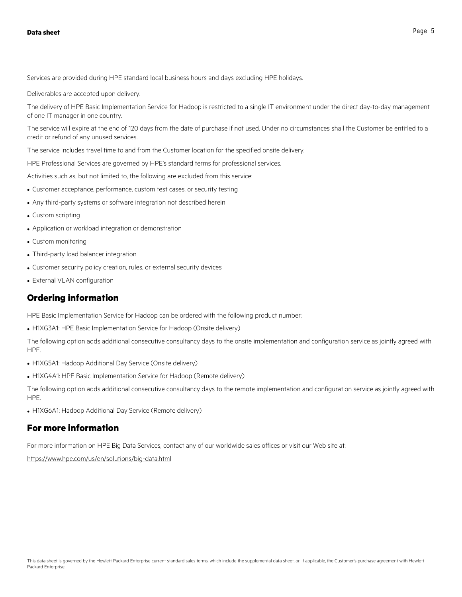Services are provided during HPE standard local business hours and days excluding HPE holidays.

Deliverables are accepted upon delivery.

The delivery of HPE Basic Implementation Service for Hadoop is restricted to a single IT environment under the direct day-to-day management of one IT manager in one country.

The service will expire at the end of 120 days from the date of purchase if not used. Under no circumstances shall the Customer be entitled to a credit or refund of any unused services.

The service includes travel time to and from the Customer location for the specified onsite delivery.

HPE Professional Services are governed by HPE's standard terms for professional services.

Activities such as, but not limited to, the following are excluded from this service:

- Customer acceptance, performance, custom test cases, or security testing
- Any third-party systems or software integration not described herein
- Custom scripting
- Application or workload integration or demonstration
- Custom monitoring
- Third-party load balancer integration
- Customer security policy creation, rules, or external security devices
- External VLAN configuration

#### **Ordering information**

HPE Basic Implementation Service for Hadoop can be ordered with the following product number:

• H1XG3A1: HPE Basic Implementation Service for Hadoop (Onsite delivery)

The following option adds additional consecutive consultancy days to the onsite implementation and configuration service as jointly agreed with **HPF** 

- H1XG5A1: Hadoop Additional Day Service (Onsite delivery)
- H1XG4A1: HPE Basic Implementation Service for Hadoop (Remote delivery)

The following option adds additional consecutive consultancy days to the remote implementation and configuration service as jointly agreed with HPE.

• H1XG6A1: Hadoop Additional Day Service (Remote delivery)

#### **For more information**

For more information on HPE Big Data Services, contact any of our worldwide sales offices or visit our Web site at:

https://www.hpe.com/us/en/solutions/big-data.html